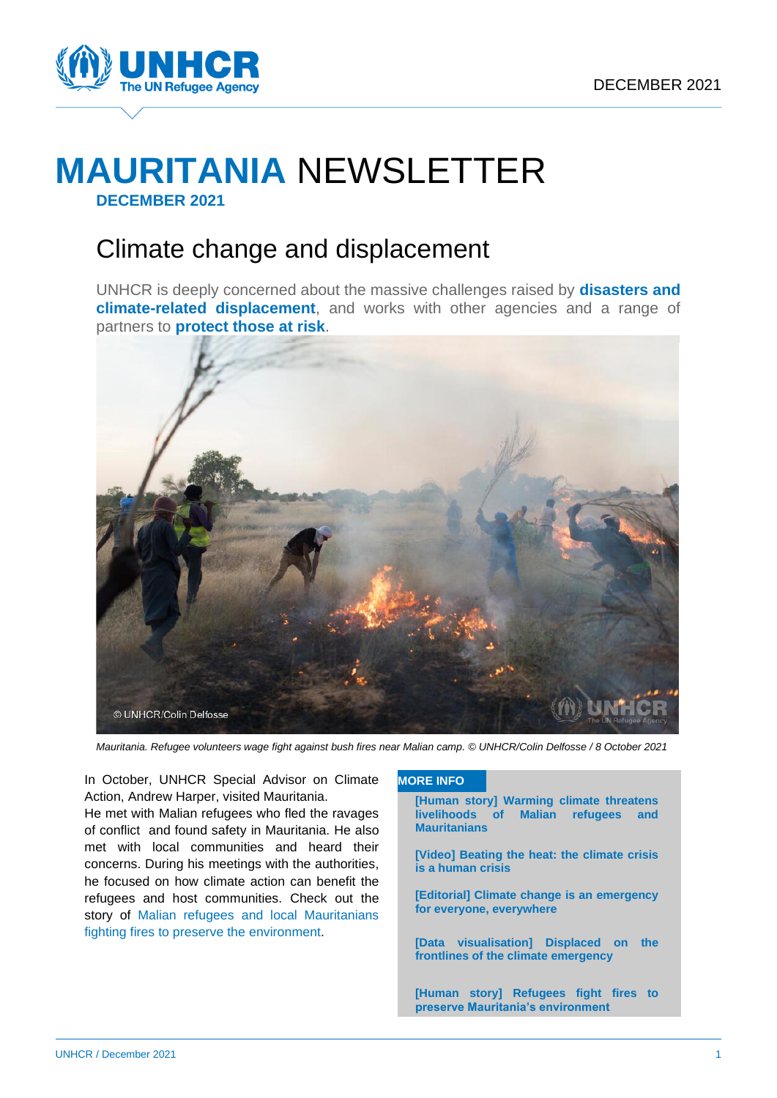

# **MAURITANIA** NEWSLETTER **DECEMBER 2021**

# Climate change and displacement

UNHCR is deeply concerned about the massive challenges raised by **disasters and climate-related displacement**, and works with other agencies and a range of partners to **protect those at risk**.



*Mauritania. Refugee volunteers wage fight against bush fires near Malian camp. © UNHCR/Colin Delfosse / 8 October 2021*

In October, UNHCR Special Advisor on Climate Action, Andrew Harper, visited Mauritania.

He met with Malian refugees who fled the ravages of conflict and found safety in Mauritania. He also met with local communities and heard their concerns. During his meetings with the authorities, he focused on how climate action can benefit the refugees and host communities. Check out the story of Malian refugees [and local Mauritanians](https://www.unhcr.org/news/stories/2021/11/61a626e74/refugees-fight-fires-preserve-mauritanias-environment.html) [fighting fires to preserve the environment.](https://www.unhcr.org/news/stories/2021/11/61a626e74/refugees-fight-fires-preserve-mauritanias-environment.html)

#### **MORE INFO**

**[\[Human story\] Warming climate threatens](https://www.unhcr.org/news/stories/2021/10/617c4ba66/warming-climate-threatens-livelihoods-malian-refugees-mauritanians.html)  [livelihoods of Malian refugees and](https://www.unhcr.org/news/stories/2021/10/617c4ba66/warming-climate-threatens-livelihoods-malian-refugees-mauritanians.html)  [Mauritanians](https://www.unhcr.org/news/stories/2021/10/617c4ba66/warming-climate-threatens-livelihoods-malian-refugees-mauritanians.html)**

- **[\[Video\] Beating the heat: the climate crisis](https://www.youtube.com/watch?v=FgM04GNAaEw&t=8s)  [is a human crisis](https://www.youtube.com/watch?v=FgM04GNAaEw&t=8s)**
- **[\[Editorial\] Climate change is an emergency](https://www.unhcr.org/news/stories/2021/11/618a301d5/climate-change-emergency-everywhere.html)  [for everyone, everywhere](https://www.unhcr.org/news/stories/2021/11/618a301d5/climate-change-emergency-everywhere.html)**
- **[\[Data visualisation\] Displaced on the](https://storymaps.arcgis.com/stories/065d18218b654c798ae9f360a626d903)  [frontlines of the climate emergency](https://storymaps.arcgis.com/stories/065d18218b654c798ae9f360a626d903)**
- **[Human story] Refugees fight fires to preserve Mauritania's environment**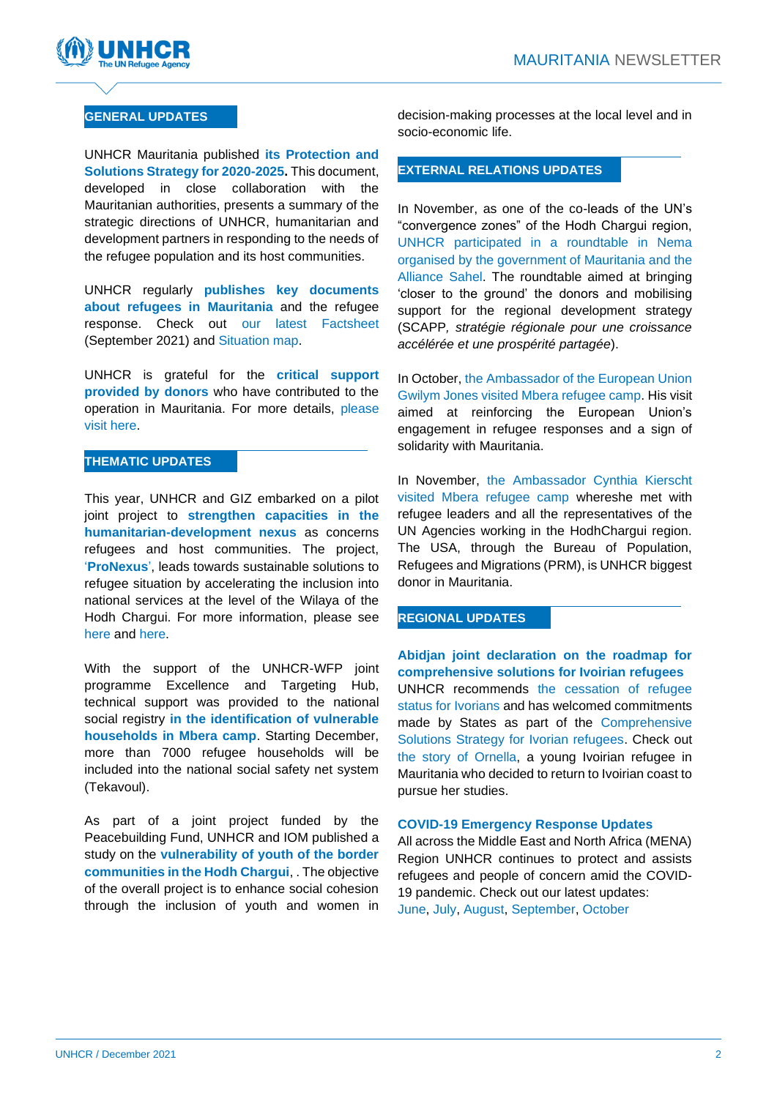

## **GENERAL UPDATES**

UNHCR Mauritania published **[its Protection and](https://data2.unhcr.org/en/documents/details/89944)  [Solutions Strategy](https://data2.unhcr.org/en/documents/details/89944) for 2020-2025.** This document, developed in close collaboration with the Mauritanian authorities, presents a summary of the strategic directions of UNHCR, humanitarian and development partners in responding to the needs of the refugee population and its host communities.

UNHCR regularly **publishes key documents about refugees in Mauritania** and the refugee response. Check out [our latest Factsheet](https://data2.unhcr.org/en/documents/details/88968) (September 2021) and [Situation map.](https://data2.unhcr.org/en/documents/details/89807)

UNHCR is grateful for the **critical support provided by donors** who have contributed to the operation in Mauritania. For more details, [please](https://reporting.unhcr.org/mauritania)  [visit here.](https://reporting.unhcr.org/mauritania)

#### **THEMATIC UPDATES**

This year, UNHCR and GIZ embarked on a pilot joint project to **strengthen capacities in the humanitarian-development nexus** as concerns refugees and host communities. The project, '**ProNexus**', leads towards sustainable solutions to refugee situation by accelerating the inclusion into national services at the level of the Wilaya of the Hodh Chargui. For more information, please see [here](https://data2.unhcr.org/en/documents/details/86591) and [here.](https://data2.unhcr.org/en/documents/details/88953)

With the support of the UNHCR-WFP joint programme Excellence and Targeting Hub, technical support was provided to the national social registry **in the identification of vulnerable households in Mbera camp**. Starting December, more than 7000 refugee households will be included into the national social safety net system (Tekavoul).

As part of a joint project funded by the Peacebuilding Fund, UNHCR and IOM published a study on the **[vulnerability of youth of the border](https://eur02.safelinks.protection.outlook.com/?url=https%3A%2F%2Fdata2.unhcr.org%2Fen%2Fdocuments%2Fdetails%2F89668&data=04%7C01%7Clebasjol%40unhcr.org%7C3dfb76c4d6054978769608d9ae7195a5%7Ce5c37981666441348a0c6543d2af80be%7C0%7C0%7C637732625193337667%7CUnknown%7CTWFpbGZsb3d8eyJWIjoiMC4wLjAwMDAiLCJQIjoiV2luMzIiLCJBTiI6Ik1haWwiLCJXVCI6Mn0%3D%7C3000&sdata=MTLk8Tt1PEzKVWXkNeTT7usYlbOE1llaiLYAHLYpNSo%3D&reserved=0)  [communities in the Hodh Chargui](https://eur02.safelinks.protection.outlook.com/?url=https%3A%2F%2Fdata2.unhcr.org%2Fen%2Fdocuments%2Fdetails%2F89668&data=04%7C01%7Clebasjol%40unhcr.org%7C3dfb76c4d6054978769608d9ae7195a5%7Ce5c37981666441348a0c6543d2af80be%7C0%7C0%7C637732625193337667%7CUnknown%7CTWFpbGZsb3d8eyJWIjoiMC4wLjAwMDAiLCJQIjoiV2luMzIiLCJBTiI6Ik1haWwiLCJXVCI6Mn0%3D%7C3000&sdata=MTLk8Tt1PEzKVWXkNeTT7usYlbOE1llaiLYAHLYpNSo%3D&reserved=0)**, . The objective of the overall project is to enhance social cohesion through the inclusion of youth and women in

decision-making processes at the local level and in socio-economic life.

## **EXTERNAL RELATIONS UPDATES**

In November, as one of the co-leads of the UN's "convergence zones" of the Hodh Chargui region, [UNHCR participated in a roundtable in Nema](https://twitter.com/MariaSt_UNHCR/status/1464685566335893515)  [organised by the government of Mauritania and the](https://twitter.com/MariaSt_UNHCR/status/1464685566335893515)  [Alliance Sahel.](https://twitter.com/MariaSt_UNHCR/status/1464685566335893515) The roundtable aimed at bringing 'closer to the ground' the donors and mobilising support for the regional development strategy (SCAPP*, stratégie régionale pour une croissance accélérée et une prospérité partagée*).

In October, [the Ambassador of the European Union](https://twitter.com/MariaSt_UNHCR/status/1445494293217513472)  [Gwilym Jones visited Mbera refugee camp.](https://twitter.com/MariaSt_UNHCR/status/1445494293217513472) His visit aimed at reinforcing the European Union's engagement in refugee responses and a sign of solidarity with Mauritania.

In November, [the Ambassador Cynthia Kierscht](https://twitter.com/MariaSt_UNHCR/status/1458181027881529348)  [visited Mbera refugee camp](https://twitter.com/MariaSt_UNHCR/status/1458181027881529348) whereshe met with refugee leaders and all the representatives of the UN Agencies working in the HodhChargui region. The USA, through the Bureau of Population, Refugees and Migrations (PRM), is UNHCR biggest donor in Mauritania.

#### **REGIONAL UPDATES**

**Abidjan joint declaration on the roadmap for comprehensive solutions for Ivoirian refugees** UNHCR recommends [the cessation of refugee](https://www.unhcr.org/news/press/2021/10/615ec5e74/unhcr-recommends-cessation-refugee-status-ivorians.html)  [status for Ivorians](https://www.unhcr.org/news/press/2021/10/615ec5e74/unhcr-recommends-cessation-refugee-status-ivorians.html) and has welcomed commitments made by States as part of the [Comprehensive](https://data2.unhcr.org/en/documents/details/88508)  [Solutions Strategy for Ivorian refugees.](https://data2.unhcr.org/en/documents/details/88508) Check out [the story of Ornella,](https://twitter.com/i/status/1461336929681743878) a young Ivoirian refugee in Mauritania who decided to return to Ivoirian coast to pursue her studies.

#### **COVID-19 Emergency Response Updates**

All across the Middle East and North Africa (MENA) Region UNHCR continues to protect and assists refugees and people of concern amid the COVID-19 pandemic. Check out our latest updates: [June,](https://data2.unhcr.org/en/documents/details/88034) [July,](https://data2.unhcr.org/en/documents/details/88338) [August,](https://data2.unhcr.org/en/documents/details/88969) [September,](https://data2.unhcr.org/en/documents/details/89245) [October](https://data2.unhcr.org/en/documents/details/89816)